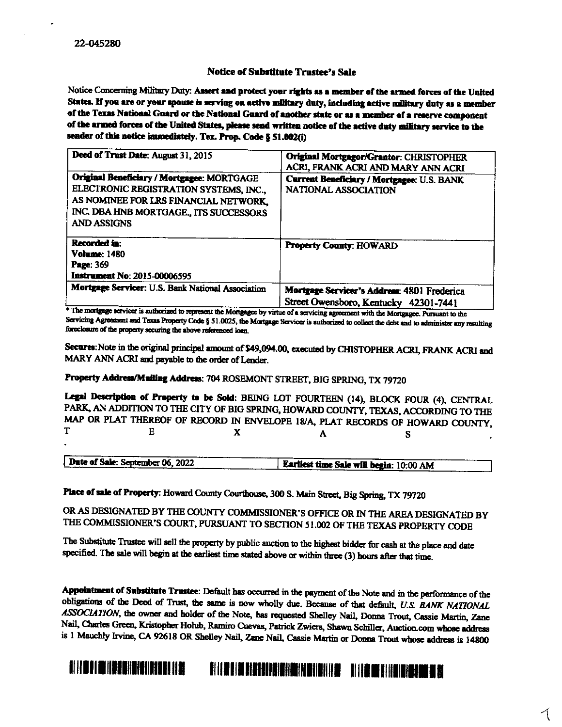## **Notice of Substitute Trustee's Sale**

Notice Concerning Military Duty: Assert and protect your rights as a member of the armed forces of the United States. If you are or your spouse is serving on active military duty, including active military duty as a member of the Texas National Guard or the National Guard of another state or as a member of a reserve component of the armed forces of the United States, please send written notice of the active duty military service to the sender of this notice immediately. Tex. Prop. Code § 51.002(i)

| Deed of Trust Date: August 31, 2015                                                                                                                                                           | Original Mortgagor/Grantor: CHRISTOPHER<br>ACRI, FRANK ACRI AND MARY ANN ACRI        |
|-----------------------------------------------------------------------------------------------------------------------------------------------------------------------------------------------|--------------------------------------------------------------------------------------|
| Original Beneficiary / Mortgagee: MORTGAGE<br>ELECTRONIC REGISTRATION SYSTEMS, INC.,<br>AS NOMINEE FOR LRS FINANCIAL NETWORK,<br>INC. DBA HNB MORTGAGE., ITS SUCCESSORS<br><b>AND ASSIGNS</b> | Current Beneficiary / Mortgagee: U.S. BANK<br><b>NATIONAL ASSOCIATION</b>            |
| Recorded in:<br><b>Volume: 1480</b><br>Page: 369<br><b>Instrument No: 2015-00006595</b>                                                                                                       | <b>Property County: HOWARD</b>                                                       |
| Mortgage Servicer: U.S. Bank National Association                                                                                                                                             | Mortgage Servicer's Address: 4801 Frederica<br>Street Owensboro, Kentucky 42301-7441 |

\* The mortgage servicer is authorized to represent the Mortgagee by virtue of a servicing agreement with the Mortgagee. Pursuant to the Servicing Agreement and Texas Property Code § 51.0025, the Mortgage Servicer is authorized to collect the debt and to administer any resulting foreclosure of the property securing the above referenced loan.

Secures: Note in the original principal amount of \$49,094.00, executed by CHISTOPHER ACRI, FRANK ACRI and MARY ANN ACRI and payable to the order of Lender.

## Property Address/Mailing Address: 704 ROSEMONT STREET, BIG SPRING, TX 79720

Legal Description of Property to be Sold: BEING LOT FOURTEEN (14), BLOCK FOUR (4), CENTRAL PARK, AN ADDITION TO THE CITY OF BIG SPRING, HOWARD COUNTY, TEXAS, ACCORDING TO THE MAP OR PLAT THEREOF OF RECORD IN ENVELOPE 18/A, PLAT RECORDS OF HOWARD COUNTY, T  $E$  $\mathbf{x}$  $\blacktriangle$ **S** 

| -----<br>                        |                                         |
|----------------------------------|-----------------------------------------|
| Date of Sale: September 06, 2022 |                                         |
| ______                           | Earliest time Sale will begin: 10:00 AM |

Place of sale of Property: Howard County Courthouse, 300 S. Main Street, Big Spring, TX 79720

OR AS DESIGNATED BY THE COUNTY COMMISSIONER'S OFFICE OR IN THE AREA DESIGNATED BY THE COMMISSIONER'S COURT, PURSUANT TO SECTION 51.002 OF THE TEXAS PROPERTY CODE

The Substitute Trustee will sell the property by public auction to the highest bidder for cash at the place and date specified. The sale will begin at the earliest time stated above or within three (3) hours after that time.

Appointment of Substitute Trustee: Default has occurred in the payment of the Note and in the performance of the obligations of the Deed of Trust, the same is now wholly due. Because of that default, U.S. BANK NATIONAL ASSOCIATION, the owner and holder of the Note, has requested Shelley Nail, Donna Trout, Cassie Martin, Zane Nail, Charles Green, Kristopher Holub, Ramiro Cuevas, Patrick Zwiers, Shawn Schiller, Auction.com whose address is 1 Mauchly Irvine, CA 92618 OR Shelley Nail, Zane Nail, Cassie Martin or Donna Trout whose address is 14800

## N II DI BIN SENHENEN NE HILLE VILLE LIBERALDI VILLE VILLE VILLE VILLE VILLE VE LA SULLE VILLE VILLE VILLE VILLE VILLE VILLE VILLE VILL